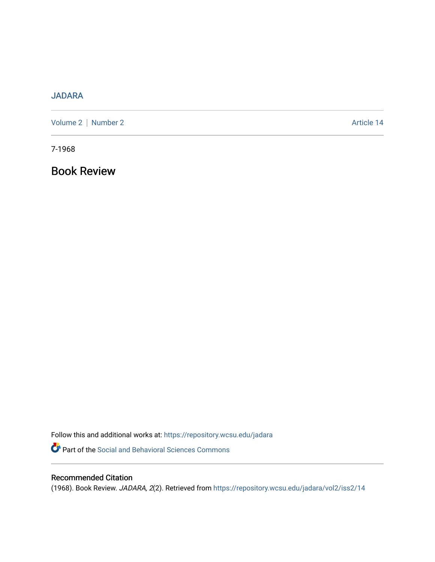## [JADARA](https://repository.wcsu.edu/jadara)

[Volume 2](https://repository.wcsu.edu/jadara/vol2) | [Number 2](https://repository.wcsu.edu/jadara/vol2/iss2) Article 14

7-1968

Book Review

Follow this and additional works at: [https://repository.wcsu.edu/jadara](https://repository.wcsu.edu/jadara?utm_source=repository.wcsu.edu%2Fjadara%2Fvol2%2Fiss2%2F14&utm_medium=PDF&utm_campaign=PDFCoverPages) Part of the [Social and Behavioral Sciences Commons](http://network.bepress.com/hgg/discipline/316?utm_source=repository.wcsu.edu%2Fjadara%2Fvol2%2Fiss2%2F14&utm_medium=PDF&utm_campaign=PDFCoverPages) 

## Recommended Citation

(1968). Book Review. JADARA, 2(2). Retrieved from [https://repository.wcsu.edu/jadara/vol2/iss2/14](https://repository.wcsu.edu/jadara/vol2/iss2/14?utm_source=repository.wcsu.edu%2Fjadara%2Fvol2%2Fiss2%2F14&utm_medium=PDF&utm_campaign=PDFCoverPages)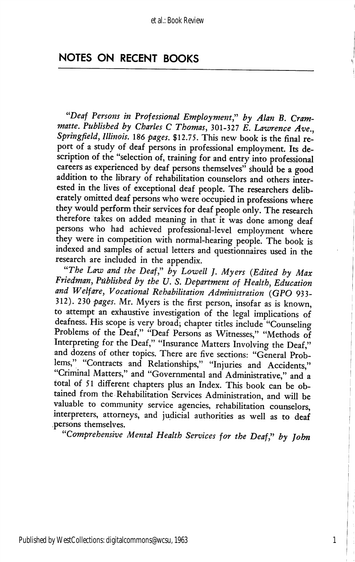## NOTES ON RECENT BOOKS

"Deaf Persons in Professional Employment," by Alan B. Crammatte. Published by Charles C Thomas, 301-327 E. Lawrence Ave., Springfield, Illinois. 186 pages. \$12.75. This new book is the final re port of a study of deaf persons in professional employment. Its de scription of the "selection of, training for and entry into professional careers as experienced by deaf persons themselves" should be a good addition to the library of rehabilitation counselors and others inter ested in the lives of exceptional deaf people. The researchers delib erately omitted deaf persons who were occupied in professions where they would perform their services for deaf people only. The research therefore takes on added meaning in that it was done among deaf persons who had achieved professional-level employment where they were in competition with normal-hearing people. The book is indexed and samples of actual letters and questionnaires used in the research are included in the appendix.

"The Law and the Deaf," by Lowell J. Myers (Edited by Max Friedman, Published by the U. S. Department of Health, Education and Welfare, Vocational Rehabilitation Administration (GPO 933- 312). 230 pages. Mr. Myers is the first person, insofar as is known, to attempt an exhaustive investigation of the legal implications of deafness. His scope is very broad; chapter titles include "Counseling Problems of the Deaf," "Deaf Persons as Witnesses," "Methods of Interpreting for the Deaf," "Insurance Matters Involving the Deaf," and dozens of other topics. There are five sections: "General Problems," "Contracts and Relationships," "Injuries and Accidents," Criminal Matters," and "Governmental and Administrative," and a total of 51 different chapters plus an Index. This book can be ob tained from the Rehabilitation Services Administration, and will be valuable to community service agencies, rehabilitation counselors, interpreters, attorneys, and judicial authorities as well as to deaf persons themselves.

"Comprehensive Mental Health Services for the Deaf," by John

1